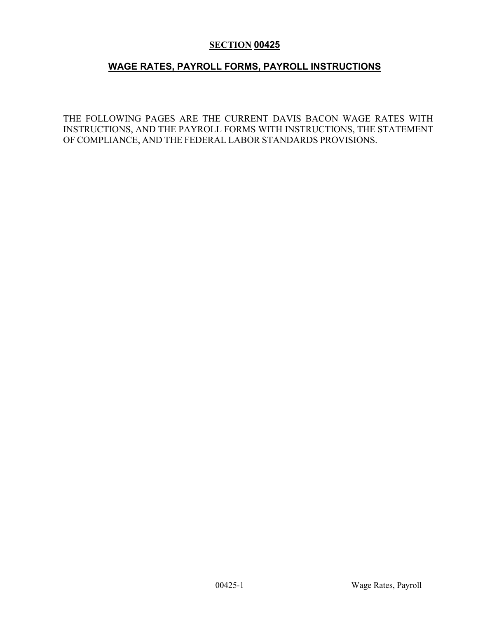# **SECTION 00425**

# **WAGE RATES, PAYROLL FORMS, PAYROLL INSTRUCTIONS**

THE FOLLOWING PAGES ARE THE CURRENT DAVIS BACON WAGE RATES WITH INSTRUCTIONS, AND THE PAYROLL FORMS WITH INSTRUCTIONS, THE STATEMENT OF COMPLIANCE, AND THE FEDERAL LABOR STANDARDS PROVISIONS.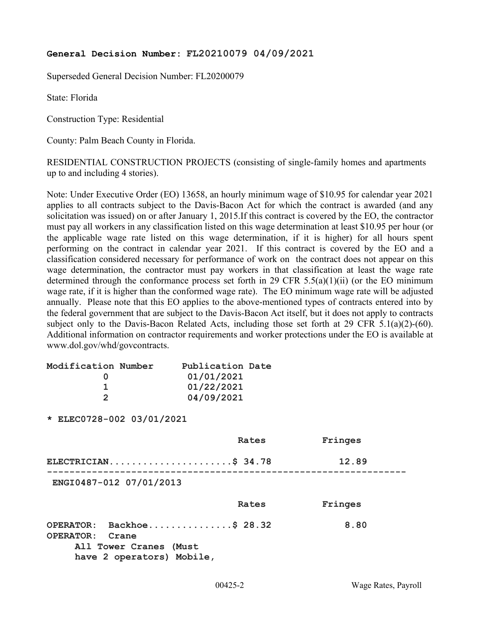### **General Decision Number: FL20210079 04/09/2021**

Superseded General Decision Number: FL20200079

State: Florida

Construction Type: Residential

County: Palm Beach County in Florida.

RESIDENTIAL CONSTRUCTION PROJECTS (consisting of single-family homes and apartments up to and including 4 stories).

Note: Under Executive Order (EO) 13658, an hourly minimum wage of \$10.95 for calendar year 2021 applies to all contracts subject to the Davis-Bacon Act for which the contract is awarded (and any solicitation was issued) on or after January 1, 2015.If this contract is covered by the EO, the contractor must pay all workers in any classification listed on this wage determination at least \$10.95 per hour (or the applicable wage rate listed on this wage determination, if it is higher) for all hours spent performing on the contract in calendar year 2021. If this contract is covered by the EO and a classification considered necessary for performance of work on the contract does not appear on this wage determination, the contractor must pay workers in that classification at least the wage rate determined through the conformance process set forth in 29 CFR 5.5(a)(1)(ii) (or the EO minimum wage rate, if it is higher than the conformed wage rate). The EO minimum wage rate will be adjusted annually. Please note that this EO applies to the above-mentioned types of contracts entered into by the federal government that are subject to the Davis-Bacon Act itself, but it does not apply to contracts subject only to the Davis-Bacon Related Acts, including those set forth at 29 CFR 5.1(a)(2)-(60). Additional information on contractor requirements and worker protections under the EO is available at www.dol.gov/whd/govcontracts.

| Modification Number       | Publication Date |         |
|---------------------------|------------------|---------|
| 0                         | 01/01/2021       |         |
| 1                         | 01/22/2021       |         |
| $\overline{2}$            | 04/09/2021       |         |
| * ELEC0728-002 03/01/2021 |                  |         |
|                           | Rates            | Fringes |
| ELECTRICIAN\$ 34.78       |                  | 12.89   |
| ENGI0487-012 07/01/2013   |                  |         |
|                           | Rates            | Fringes |
| OPERATOR: Backhoe\$ 28.32 |                  | 8.80    |
| OPERATOR: Crane           |                  |         |
| All Tower Cranes (Must    |                  |         |
| have 2 operators) Mobile, |                  |         |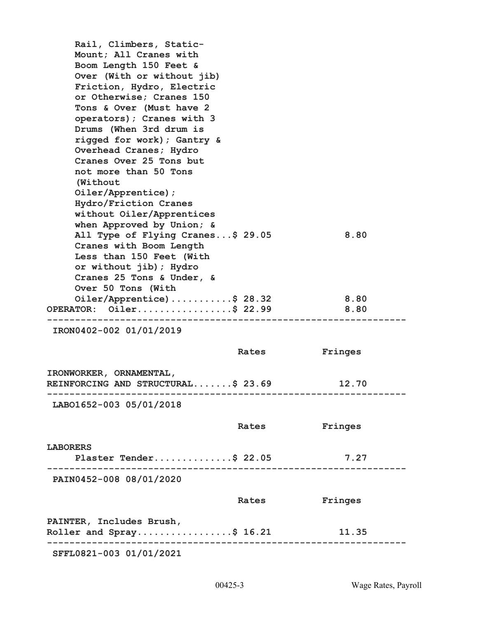| Rail, Climbers, Static-                                                 |       |         |
|-------------------------------------------------------------------------|-------|---------|
| Mount; All Cranes with                                                  |       |         |
| Boom Length 150 Feet &<br>Over (With or without jib)                    |       |         |
| Friction, Hydro, Electric                                               |       |         |
| or Otherwise; Cranes 150                                                |       |         |
| Tons & Over (Must have 2                                                |       |         |
| operators); Cranes with 3                                               |       |         |
| Drums (When 3rd drum is                                                 |       |         |
| rigged for work); Gantry &                                              |       |         |
| Overhead Cranes; Hydro                                                  |       |         |
| Cranes Over 25 Tons but                                                 |       |         |
| not more than 50 Tons                                                   |       |         |
| (Without                                                                |       |         |
| Oiler/Apprentice);                                                      |       |         |
| Hydro/Friction Cranes                                                   |       |         |
| without Oiler/Apprentices                                               |       |         |
| when Approved by Union; &<br>All Type of Flying Cranes\$ 29.05          |       | 8.80    |
| Cranes with Boom Length                                                 |       |         |
| Less than 150 Feet (With                                                |       |         |
| or without jib); Hydro                                                  |       |         |
| Cranes 25 Tons & Under, &                                               |       |         |
| Over 50 Tons (With                                                      |       |         |
| Oiler/Apprentice)\$ 28.32                                               |       | 8.80    |
| OPERATOR: Oiler\$ 22.99<br>---------------------------------<br>------- |       | 8.80    |
| IRON0402-002 01/01/2019                                                 |       |         |
|                                                                         | Rates | Fringes |
| IRONWORKER, ORNAMENTAL,                                                 |       |         |
| REINFORCING AND STRUCTURAL\$ 23.69                                      |       | 12.70   |
| LAB01652-003 05/01/2018                                                 |       |         |
|                                                                         |       |         |
|                                                                         | Rates | Fringes |
| <b>LABORERS</b>                                                         |       |         |
| Plaster Tender\$ 22.05                                                  |       | 7.27    |
| PAIN0452-008 08/01/2020                                                 |       |         |
|                                                                         | Rates | Fringes |
| PAINTER, Includes Brush,                                                |       |         |
| Roller and $Spray$ \$ 16.21                                             |       | 11.35   |
| SFFL0821-003 01/01/2021                                                 |       |         |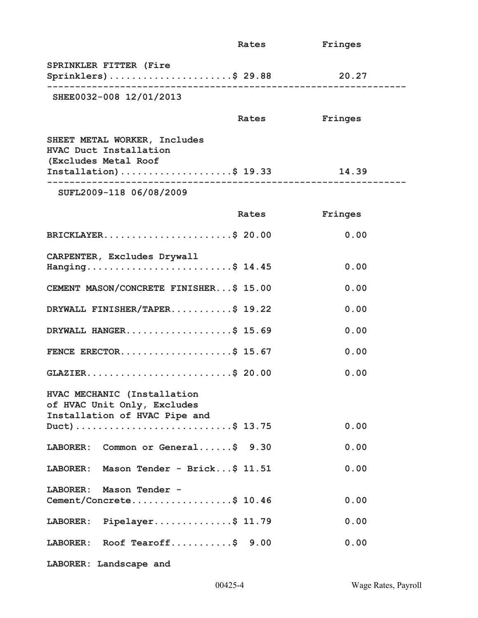|                                                                                                         | Rates | Fringes |
|---------------------------------------------------------------------------------------------------------|-------|---------|
| SPRINKLER FITTER (Fire<br>Sprinklers)\$ 29.88                                                           |       | 20.27   |
| SHEE0032-008 12/01/2013                                                                                 |       |         |
|                                                                                                         | Rates | Fringes |
| SHEET METAL WORKER, Includes<br>HVAC Duct Installation<br>(Excludes Metal Roof<br>Installation)\$ 19.33 |       | 14.39   |
| SUFL2009-118 06/08/2009                                                                                 |       |         |
|                                                                                                         | Rates | Fringes |
| BRICKLAYER\$ 20.00                                                                                      |       | 0.00    |
| CARPENTER, Excludes Drywall<br>Hanging\$ 14.45                                                          |       | 0.00    |
| CEMENT MASON/CONCRETE FINISHER\$ 15.00                                                                  |       | 0.00    |
| DRYWALL FINISHER/TAPER\$ 19.22                                                                          |       | 0.00    |
| DRYWALL HANGER\$ 15.69                                                                                  |       | 0.00    |
| FENCE ERECTOR\$ 15.67                                                                                   |       | 0.00    |
| GLAZIER\$ 20.00                                                                                         |       | 0.00    |
| HVAC MECHANIC (Installation<br>of HVAC Unit Only, Excludes<br>Installation of HVAC Pipe and             |       | 0.00    |
| LABORER: Common or General\$ 9.30                                                                       |       | 0.00    |
| LABORER: Mason Tender - Brick\$ 11.51                                                                   |       | 0.00    |
| LABORER: Mason Tender -<br>Cement/Concrete\$ 10.46                                                      |       | 0.00    |
| LABORER: Pipelayer\$ 11.79                                                                              |       | 0.00    |
| LABORER: Roof Tearoff\$ 9.00                                                                            |       | 0.00    |
| LABORER: Landscape and                                                                                  |       |         |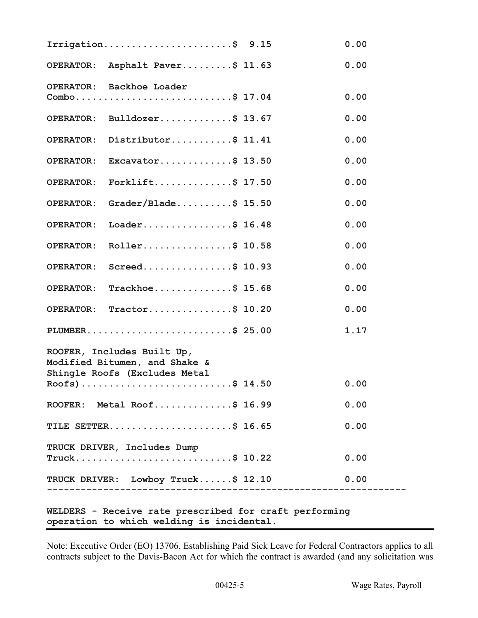|                                           | Irrigation\$ $9.15$                                         |  | 0.00 |  |  |
|-------------------------------------------|-------------------------------------------------------------|--|------|--|--|
|                                           | OPERATOR: Asphalt Paver\$ 11.63                             |  | 0.00 |  |  |
|                                           | OPERATOR: Backhoe Loader                                    |  |      |  |  |
|                                           | Combo\$ 17.04                                               |  | 0.00 |  |  |
|                                           | OPERATOR: Bulldozer\$ 13.67                                 |  | 0.00 |  |  |
|                                           | OPERATOR: Distributor\$ 11.41                               |  | 0.00 |  |  |
| <b>OPERATOR:</b>                          | Excavator\$ $13.50$                                         |  | 0.00 |  |  |
| <b>OPERATOR:</b>                          | Forklift\$ $17.50$                                          |  | 0.00 |  |  |
|                                           | OPERATOR: Grader/Blade\$ 15.50                              |  | 0.00 |  |  |
|                                           | OPERATOR: Loader\$ 16.48                                    |  | 0.00 |  |  |
| <b>OPERATOR:</b>                          | Roller\$ 10.58                                              |  | 0.00 |  |  |
| <b>OPERATOR:</b>                          | Screed\$ 10.93                                              |  | 0.00 |  |  |
|                                           | OPERATOR: Trackhoe\$ 15.68                                  |  | 0.00 |  |  |
|                                           | OPERATOR: Tractor\$ 10.20                                   |  | 0.00 |  |  |
|                                           | PLUMBER\$ 25.00                                             |  | 1.17 |  |  |
|                                           | ROOFER, Includes Built Up,<br>Modified Bitumen, and Shake & |  |      |  |  |
|                                           | Shingle Roofs (Excludes Metal                               |  |      |  |  |
|                                           | Roofs)\$ 14.50                                              |  | 0.00 |  |  |
|                                           | ROOFER: Metal Roof\$ 16.99                                  |  | 0.00 |  |  |
|                                           | TILE SETTER\$ 16.65                                         |  | 0.00 |  |  |
|                                           | TRUCK DRIVER, Includes Dump                                 |  |      |  |  |
|                                           | Truck\$ 10.22                                               |  | 0.00 |  |  |
|                                           | TRUCK DRIVER: Lowboy Truck\$ 12.10                          |  | 0.00 |  |  |
|                                           |                                                             |  |      |  |  |
|                                           | WELDERS - Receive rate prescribed for craft performing      |  |      |  |  |
| operation to which welding is incidental. |                                                             |  |      |  |  |

Note: Executive Order (EO) 13706, Establishing Paid Sick Leave for Federal Contractors applies to all contracts subject to the Davis-Bacon Act for which the contract is awarded (and any solicitation was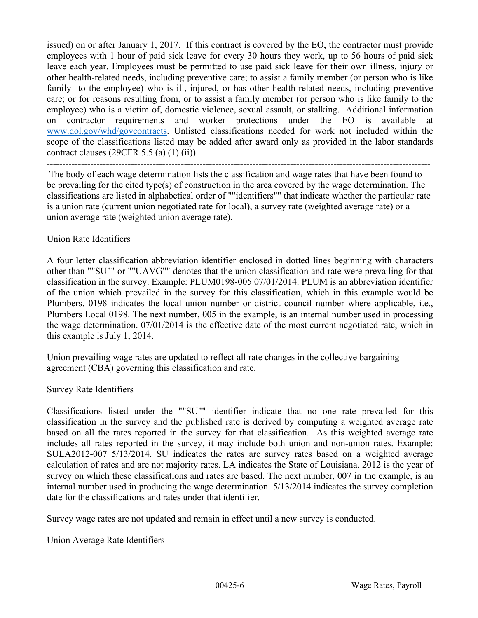issued) on or after January 1, 2017. If this contract is covered by the EO, the contractor must provide employees with 1 hour of paid sick leave for every 30 hours they work, up to 56 hours of paid sick leave each year. Employees must be permitted to use paid sick leave for their own illness, injury or other health-related needs, including preventive care; to assist a family member (or person who is like family to the employee) who is ill, injured, or has other health-related needs, including preventive care; or for reasons resulting from, or to assist a family member (or person who is like family to the employee) who is a victim of, domestic violence, sexual assault, or stalking. Additional information on contractor requirements and worker protections under the EO is available at [www.dol.gov/whd/govcontracts.](http://www.dol.gov/whd/govcontracts) Unlisted classifications needed for work not included within the scope of the classifications listed may be added after award only as provided in the labor standards contract clauses (29CFR 5.5 (a) (1) (ii)).

--------------------------------------------------------------------------------------------------------------------------- The body of each wage determination lists the classification and wage rates that have been found to be prevailing for the cited type(s) of construction in the area covered by the wage determination. The classifications are listed in alphabetical order of ""identifiers"" that indicate whether the particular rate is a union rate (current union negotiated rate for local), a survey rate (weighted average rate) or a union average rate (weighted union average rate).

## Union Rate Identifiers

A four letter classification abbreviation identifier enclosed in dotted lines beginning with characters other than ""SU"" or ""UAVG"" denotes that the union classification and rate were prevailing for that classification in the survey. Example: PLUM0198-005 07/01/2014. PLUM is an abbreviation identifier of the union which prevailed in the survey for this classification, which in this example would be Plumbers. 0198 indicates the local union number or district council number where applicable, i.e., Plumbers Local 0198. The next number, 005 in the example, is an internal number used in processing the wage determination. 07/01/2014 is the effective date of the most current negotiated rate, which in this example is July 1, 2014.

Union prevailing wage rates are updated to reflect all rate changes in the collective bargaining agreement (CBA) governing this classification and rate.

#### Survey Rate Identifiers

Classifications listed under the ""SU"" identifier indicate that no one rate prevailed for this classification in the survey and the published rate is derived by computing a weighted average rate based on all the rates reported in the survey for that classification. As this weighted average rate includes all rates reported in the survey, it may include both union and non-union rates. Example: SULA2012-007 5/13/2014. SU indicates the rates are survey rates based on a weighted average calculation of rates and are not majority rates. LA indicates the State of Louisiana. 2012 is the year of survey on which these classifications and rates are based. The next number, 007 in the example, is an internal number used in producing the wage determination. 5/13/2014 indicates the survey completion date for the classifications and rates under that identifier.

Survey wage rates are not updated and remain in effect until a new survey is conducted.

Union Average Rate Identifiers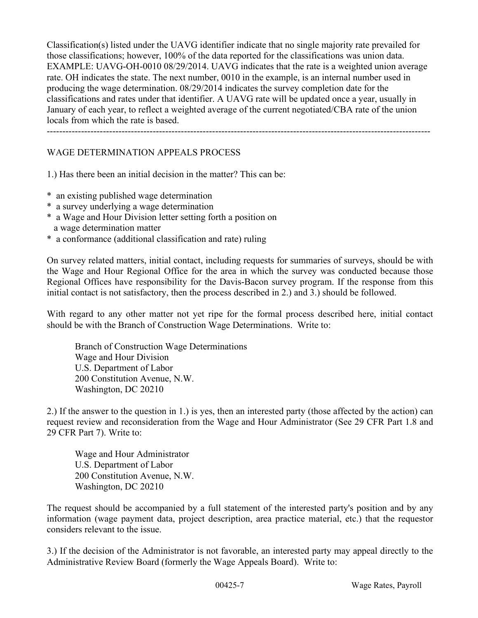Classification(s) listed under the UAVG identifier indicate that no single majority rate prevailed for those classifications; however, 100% of the data reported for the classifications was union data. EXAMPLE: UAVG-OH-0010 08/29/2014. UAVG indicates that the rate is a weighted union average rate. OH indicates the state. The next number, 0010 in the example, is an internal number used in producing the wage determination. 08/29/2014 indicates the survey completion date for the classifications and rates under that identifier. A UAVG rate will be updated once a year, usually in January of each year, to reflect a weighted average of the current negotiated/CBA rate of the union locals from which the rate is based.

---------------------------------------------------------------------------------------------------------------------------

### WAGE DETERMINATION APPEALS PROCESS

1.) Has there been an initial decision in the matter? This can be:

- \* an existing published wage determination
- \* a survey underlying a wage determination
- \* a Wage and Hour Division letter setting forth a position on a wage determination matter
- \* a conformance (additional classification and rate) ruling

On survey related matters, initial contact, including requests for summaries of surveys, should be with the Wage and Hour Regional Office for the area in which the survey was conducted because those Regional Offices have responsibility for the Davis-Bacon survey program. If the response from this initial contact is not satisfactory, then the process described in 2.) and 3.) should be followed.

With regard to any other matter not yet ripe for the formal process described here, initial contact should be with the Branch of Construction Wage Determinations. Write to:

 Branch of Construction Wage Determinations Wage and Hour Division U.S. Department of Labor 200 Constitution Avenue, N.W. Washington, DC 20210

2.) If the answer to the question in 1.) is yes, then an interested party (those affected by the action) can request review and reconsideration from the Wage and Hour Administrator (See 29 CFR Part 1.8 and 29 CFR Part 7). Write to:

 Wage and Hour Administrator U.S. Department of Labor 200 Constitution Avenue, N.W. Washington, DC 20210

The request should be accompanied by a full statement of the interested party's position and by any information (wage payment data, project description, area practice material, etc.) that the requestor considers relevant to the issue.

3.) If the decision of the Administrator is not favorable, an interested party may appeal directly to the Administrative Review Board (formerly the Wage Appeals Board). Write to: